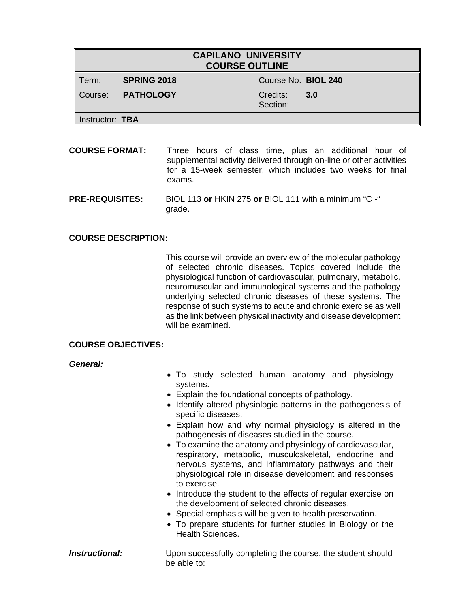| <b>CAPILANO UNIVERSITY</b><br><b>COURSE OUTLINE</b> |                    |  |                      |     |
|-----------------------------------------------------|--------------------|--|----------------------|-----|
| Term:                                               | <b>SPRING 2018</b> |  | Course No. BIOL 240  |     |
| l Course:                                           | <b>PATHOLOGY</b>   |  | Credits:<br>Section: | 3.0 |
| Instructor: TBA                                     |                    |  |                      |     |

- **COURSE FORMAT:** Three hours of class time, plus an additional hour of supplemental activity delivered through on-line or other activities for a 15-week semester, which includes two weeks for final exams.
- **PRE-REQUISITES:** BIOL 113 **or** HKIN 275 **or** BIOL 111 with a minimum "C -" grade.

## **COURSE DESCRIPTION:**

 This course will provide an overview of the molecular pathology of selected chronic diseases. Topics covered include the physiological function of cardiovascular, pulmonary, metabolic, neuromuscular and immunological systems and the pathology underlying selected chronic diseases of these systems. The response of such systems to acute and chronic exercise as well as the link between physical inactivity and disease development will be examined.

#### **COURSE OBJECTIVES:**

*General:*

- To study selected human anatomy and physiology systems.
- Explain the foundational concepts of pathology.
- Identify altered physiologic patterns in the pathogenesis of specific diseases.
- Explain how and why normal physiology is altered in the pathogenesis of diseases studied in the course.
- To examine the anatomy and physiology of cardiovascular, respiratory, metabolic, musculoskeletal, endocrine and nervous systems, and inflammatory pathways and their physiological role in disease development and responses to exercise.
- Introduce the student to the effects of regular exercise on the development of selected chronic diseases.
- Special emphasis will be given to health preservation.
- To prepare students for further studies in Biology or the Health Sciences.

#### **Instructional:** Upon successfully completing the course, the student should be able to: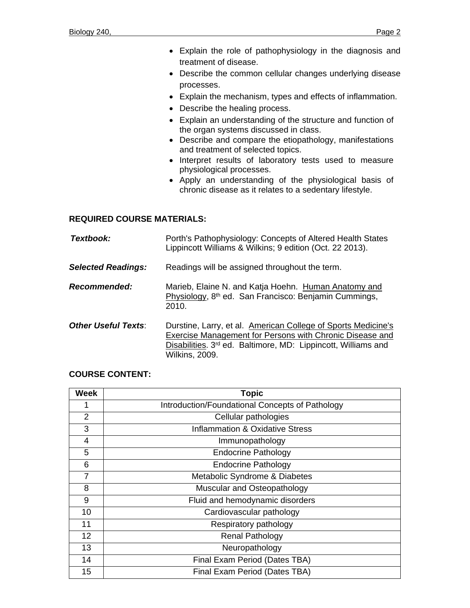- Explain the role of pathophysiology in the diagnosis and treatment of disease.
- Describe the common cellular changes underlying disease processes.
- Explain the mechanism, types and effects of inflammation.
- Describe the healing process.
- Explain an understanding of the structure and function of the organ systems discussed in class.
- Describe and compare the etiopathology, manifestations and treatment of selected topics.
- Interpret results of laboratory tests used to measure physiological processes.
- Apply an understanding of the physiological basis of chronic disease as it relates to a sedentary lifestyle.

# **REQUIRED COURSE MATERIALS:**

| Textbook:                  | Porth's Pathophysiology: Concepts of Altered Health States<br>Lippincott Williams & Wilkins; 9 edition (Oct. 22 2013).                                                                                              |
|----------------------------|---------------------------------------------------------------------------------------------------------------------------------------------------------------------------------------------------------------------|
| <b>Selected Readings:</b>  | Readings will be assigned throughout the term.                                                                                                                                                                      |
| Recommended:               | Marieb, Elaine N. and Katja Hoehn. Human Anatomy and<br>Physiology, 8 <sup>th</sup> ed. San Francisco: Benjamin Cummings,<br>2010.                                                                                  |
| <b>Other Useful Texts:</b> | Durstine, Larry, et al. American College of Sports Medicine's<br>Exercise Management for Persons with Chronic Disease and<br>Disabilities. 3rd ed. Baltimore, MD: Lippincott, Williams and<br><b>Wilkins, 2009.</b> |

# **COURSE CONTENT:**

| <b>Week</b>    | <b>Topic</b>                                    |
|----------------|-------------------------------------------------|
|                | Introduction/Foundational Concepts of Pathology |
| $\overline{2}$ | Cellular pathologies                            |
| 3              | <b>Inflammation &amp; Oxidative Stress</b>      |
| 4              | Immunopathology                                 |
| 5              | <b>Endocrine Pathology</b>                      |
| 6              | <b>Endocrine Pathology</b>                      |
| 7              | Metabolic Syndrome & Diabetes                   |
| 8              | Muscular and Osteopathology                     |
| 9              | Fluid and hemodynamic disorders                 |
| 10             | Cardiovascular pathology                        |
| 11             | Respiratory pathology                           |
| 12             | <b>Renal Pathology</b>                          |
| 13             | Neuropathology                                  |
| 14             | Final Exam Period (Dates TBA)                   |
| 15             | Final Exam Period (Dates TBA)                   |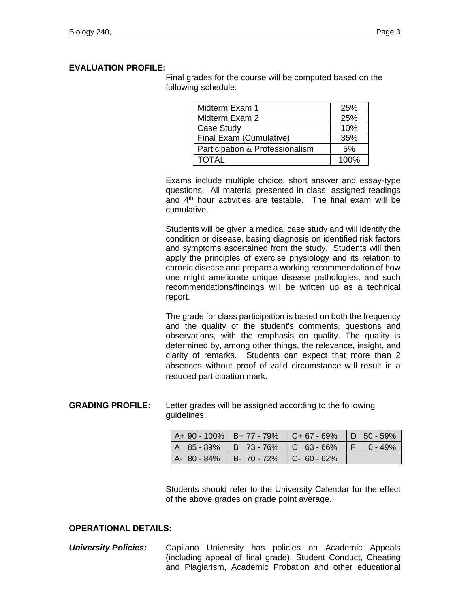# **EVALUATION PROFILE:**

Final grades for the course will be computed based on the following schedule:

| Midterm Exam 1                  | 25%  |
|---------------------------------|------|
| Midterm Exam 2                  | 25%  |
| Case Study                      | 10%  |
| Final Exam (Cumulative)         | 35%  |
| Participation & Professionalism | 5%   |
| I TOTAL                         | 100% |

Exams include multiple choice, short answer and essay-type questions. All material presented in class, assigned readings and  $4<sup>th</sup>$  hour activities are testable. The final exam will be cumulative.

Students will be given a medical case study and will identify the condition or disease, basing diagnosis on identified risk factors and symptoms ascertained from the study. Students will then apply the principles of exercise physiology and its relation to chronic disease and prepare a working recommendation of how one might ameliorate unique disease pathologies, and such recommendations/findings will be written up as a technical report.

The grade for class participation is based on both the frequency and the quality of the student's comments, questions and observations, with the emphasis on quality. The quality is determined by, among other things, the relevance, insight, and clarity of remarks. Students can expect that more than 2 absences without proof of valid circumstance will result in a reduced participation mark.

**GRADING PROFILE:** Letter grades will be assigned according to the following guidelines:

|  | $\parallel$ A+ 90 - 100% $\parallel$ B+ 77 - 79% $\parallel$ C+ 67 - 69% $\parallel$ D 50 - 59% |  |  |
|--|-------------------------------------------------------------------------------------------------|--|--|
|  | $\parallel$ A 85 - 89%   B 73 - 76%   C 63 - 66%   F 0 - 49%                                    |  |  |
|  | $\parallel$ A- 80 - 84% $\parallel$ B- 70 - 72% $\parallel$ C- 60 - 62%                         |  |  |

Students should refer to the University Calendar for the effect of the above grades on grade point average.

## **OPERATIONAL DETAILS:**

*University Policies:* Capilano University has policies on Academic Appeals (including appeal of final grade), Student Conduct, Cheating and Plagiarism, Academic Probation and other educational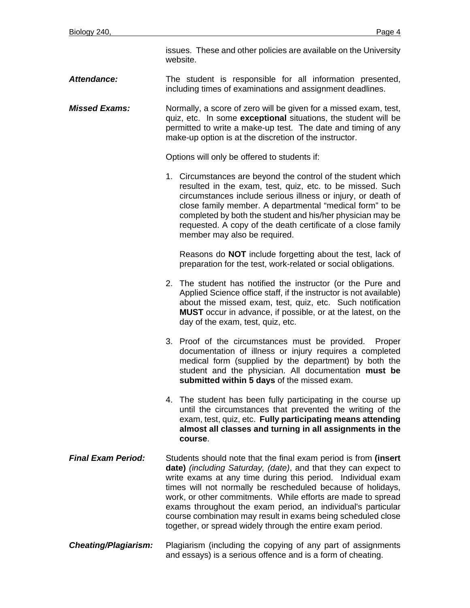issues. These and other policies are available on the University website.

### *Attendance:* The student is responsible for all information presented, including times of examinations and assignment deadlines.

*Missed Exams:* Normally, a score of zero will be given for a missed exam, test, quiz, etc. In some **exceptional** situations, the student will be permitted to write a make-up test. The date and timing of any make-up option is at the discretion of the instructor.

Options will only be offered to students if:

1. Circumstances are beyond the control of the student which resulted in the exam, test, quiz, etc. to be missed. Such circumstances include serious illness or injury, or death of close family member. A departmental "medical form" to be completed by both the student and his/her physician may be requested. A copy of the death certificate of a close family member may also be required.

Reasons do **NOT** include forgetting about the test, lack of preparation for the test, work-related or social obligations.

- 2. The student has notified the instructor (or the Pure and Applied Science office staff, if the instructor is not available) about the missed exam, test, quiz, etc. Such notification **MUST** occur in advance, if possible, or at the latest, on the day of the exam, test, quiz, etc.
- 3. Proof of the circumstances must be provided. Proper documentation of illness or injury requires a completed medical form (supplied by the department) by both the student and the physician. All documentation **must be submitted within 5 days** of the missed exam.
- 4. The student has been fully participating in the course up until the circumstances that prevented the writing of the exam, test, quiz, etc. **Fully participating means attending almost all classes and turning in all assignments in the course**.
- *Final Exam Period:* Students should note that the final exam period is from **(insert date)** *(including Saturday, (date)*, and that they can expect to write exams at any time during this period. Individual exam times will not normally be rescheduled because of holidays, work, or other commitments. While efforts are made to spread exams throughout the exam period, an individual's particular course combination may result in exams being scheduled close together, or spread widely through the entire exam period.
- *Cheating/Plagiarism:* Plagiarism (including the copying of any part of assignments and essays) is a serious offence and is a form of cheating.